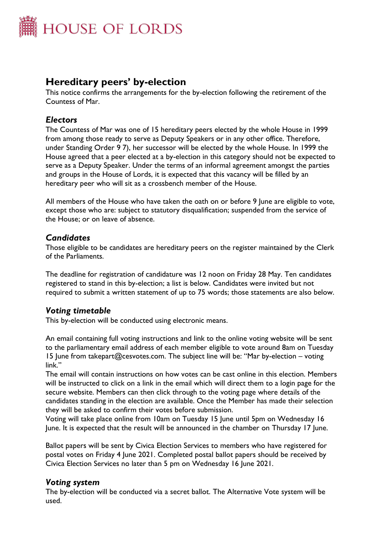

# **Hereditary peers' by-election**

This notice confirms the arrangements for the by-election following the retirement of the Countess of Mar.

## *Electors*

The Countess of Mar was one of 15 hereditary peers elected by the whole House in 1999 from among those ready to serve as Deputy Speakers or in any other office. Therefore, under Standing Order 9 7), her successor will be elected by the whole House. In 1999 the House agreed that a peer elected at a by-election in this category should not be expected to serve as a Deputy Speaker. Under the terms of an informal agreement amongst the parties and groups in the House of Lords, it is expected that this vacancy will be filled by an hereditary peer who will sit as a crossbench member of the House.

All members of the House who have taken the oath on or before 9 June are eligible to vote, except those who are: subject to statutory disqualification; suspended from the service of the House; or on leave of absence.

#### *Candidates*

Those eligible to be candidates are hereditary peers on the register maintained by the Clerk of the Parliaments.

The deadline for registration of candidature was 12 noon on Friday 28 May. Ten candidates registered to stand in this by-election; a list is below. Candidates were invited but not required to submit a written statement of up to 75 words; those statements are also below.

### *Voting timetable*

This by-election will be conducted using electronic means.

An email containing full voting instructions and link to the online voting website will be sent to the parliamentary email address of each member eligible to vote around 8am on Tuesday 15 June from takepart@cesvotes.com. The subject line will be: "Mar by-election – voting link."

The email will contain instructions on how votes can be cast online in this election. Members will be instructed to click on a link in the email which will direct them to a login page for the secure website. Members can then click through to the voting page where details of the candidates standing in the election are available. Once the Member has made their selection they will be asked to confirm their votes before submission.

Voting will take place online from 10am on Tuesday 15 June until 5pm on Wednesday 16 June. It is expected that the result will be announced in the chamber on Thursday 17 June.

Ballot papers will be sent by Civica Election Services to members who have registered for postal votes on Friday 4 June 2021. Completed postal ballot papers should be received by Civica Election Services no later than 5 pm on Wednesday 16 June 2021.

#### *Voting system*

The by-election will be conducted via a secret ballot. The Alternative Vote system will be used.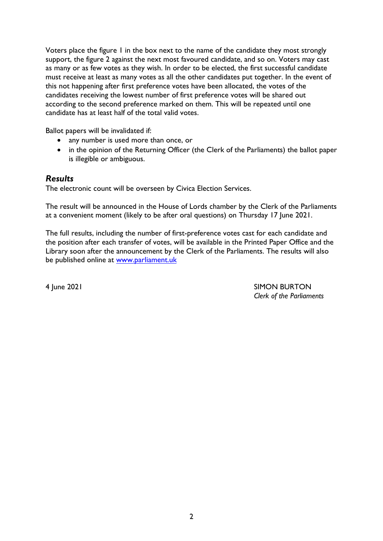Voters place the figure 1 in the box next to the name of the candidate they most strongly support, the figure 2 against the next most favoured candidate, and so on. Voters may cast as many or as few votes as they wish. In order to be elected, the first successful candidate must receive at least as many votes as all the other candidates put together. In the event of this not happening after first preference votes have been allocated, the votes of the candidates receiving the lowest number of first preference votes will be shared out according to the second preference marked on them. This will be repeated until one candidate has at least half of the total valid votes.

Ballot papers will be invalidated if:

- any number is used more than once, or
- in the opinion of the Returning Officer (the Clerk of the Parliaments) the ballot paper is illegible or ambiguous.

### *Results*

The electronic count will be overseen by Civica Election Services.

The result will be announced in the House of Lords chamber by the Clerk of the Parliaments at a convenient moment (likely to be after oral questions) on Thursday 17 June 2021.

The full results, including the number of first-preference votes cast for each candidate and the position after each transfer of votes, will be available in the Printed Paper Office and the Library soon after the announcement by the Clerk of the Parliaments. The results will also be published online at [www.parliament.uk](http://www.parliament.uk/)

4 June 2021 SIMON BURTON *Clerk of the Parliaments*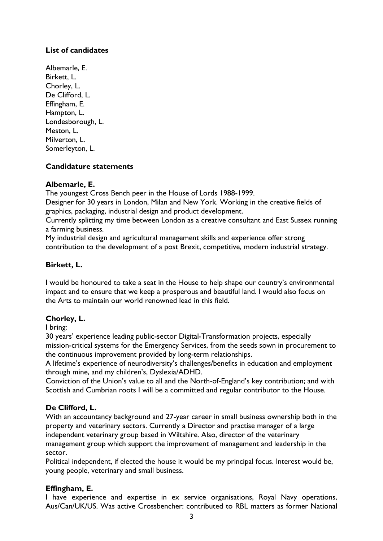### **List of candidates**

Albemarle, E. Birkett, L. Chorley, L. De Clifford, L. Effingham, E. Hampton, L. Londesborough, L. Meston, L. Milverton, L. Somerleyton, L.

#### **Candidature statements**

#### **Albemarle, E.**

The youngest Cross Bench peer in the House of Lords 1988-1999.

Designer for 30 years in London, Milan and New York. Working in the creative fields of graphics, packaging, industrial design and product development.

Currently splitting my time between London as a creative consultant and East Sussex running a farming business.

My industrial design and agricultural management skills and experience offer strong contribution to the development of a post Brexit, competitive, modern industrial strategy.

#### **Birkett, L.**

I would be honoured to take a seat in the House to help shape our country's environmental impact and to ensure that we keep a prosperous and beautiful land. I would also focus on the Arts to maintain our world renowned lead in this field.

#### **Chorley, L.**

I bring:

30 years' experience leading public-sector Digital-Transformation projects, especially mission-critical systems for the Emergency Services, from the seeds sown in procurement to the continuous improvement provided by long-term relationships.

A lifetime's experience of neurodiversity's challenges/benefits in education and employment through mine, and my children's, Dyslexia/ADHD.

Conviction of the Union's value to all and the North-of-England's key contribution; and with Scottish and Cumbrian roots I will be a committed and regular contributor to the House.

#### **De Clifford, L.**

With an accountancy background and 27-year career in small business ownership both in the property and veterinary sectors. Currently a Director and practise manager of a large independent veterinary group based in Wiltshire. Also, director of the veterinary management group which support the improvement of management and leadership in the sector.

Political independent, if elected the house it would be my principal focus. Interest would be, young people, veterinary and small business.

#### **Effingham, E.**

I have experience and expertise in ex service organisations, Royal Navy operations, Aus/Can/UK/US. Was active Crossbencher: contributed to RBL matters as former National